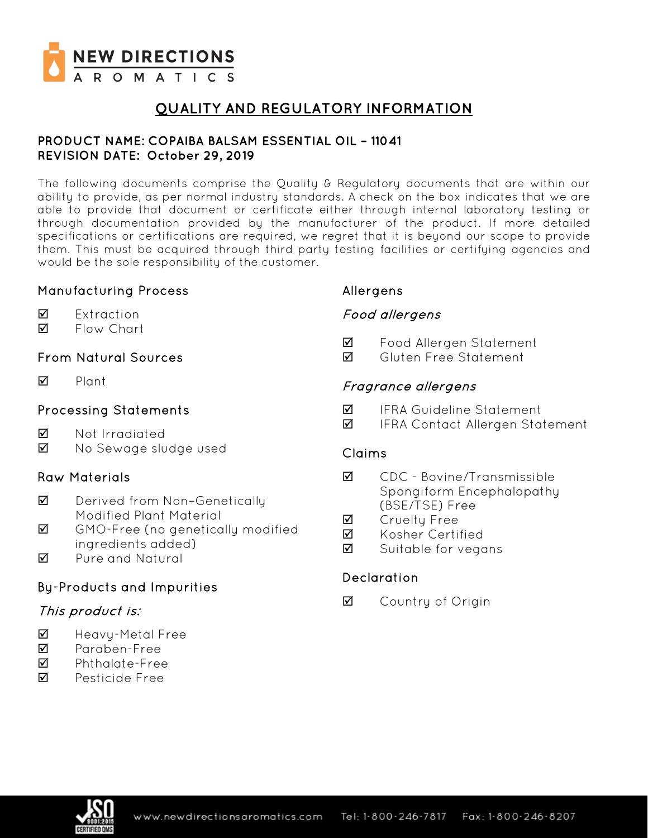

# **QUALITY AND REGULATORY INFORMATION**

### **PRODUCT NAME: COPAIBA BALSAM ESSENTIAL OIL – 11041 REVISION DATE: October 29, 2019**

The following documents comprise the Quality & Regulatory documents that are within our ability to provide, as per normal industry standards. A check on the box indicates that we are able to provide that document or certificate either through internal laboratory testing or through documentation provided by the manufacturer of the product. If more detailed specifications or certifications are required, we regret that it is beyond our scope to provide them. This must be acquired through third party testing facilities or certifying agencies and would be the sole responsibility of the customer.

## Manufacturing Process

- **☑** Extraction
- **Ø** Flow Chart

## From Natural Sources

 $\nabla$  Plant

## Processing Statements

- **M** Not Irradiated
- Mo Sewage sludge used

## Raw Materials

- **Ø** Derived from Non-Genetically Modified Plant Material
- GMO-Free (no genetically modified ingredients added)
- **M** Pure and Natural

## By-Products and Impurities

## This product is:

- Heavy-Metal Free
- Paraben-Free
- Phthalate-Free
- **M** Pesticide Free

### Allergens

## Food allergens

- Food Allergen Statement
- **M** Gluten Free Statement

### Fragrance allergens

- $\blacksquare$  IFRA Guideline Statement
- **Ø** IFRA Contact Allergen Statement

### Claims

- CDC Bovine/Transmissible Spongiform Encephalopathy (BSE/TSE) Free
- **M** Cruelty Free
- **Ø** Kosher Certified
- $\boxtimes$  Suitable for vegans

### Declaration

**☑** Country of Origin

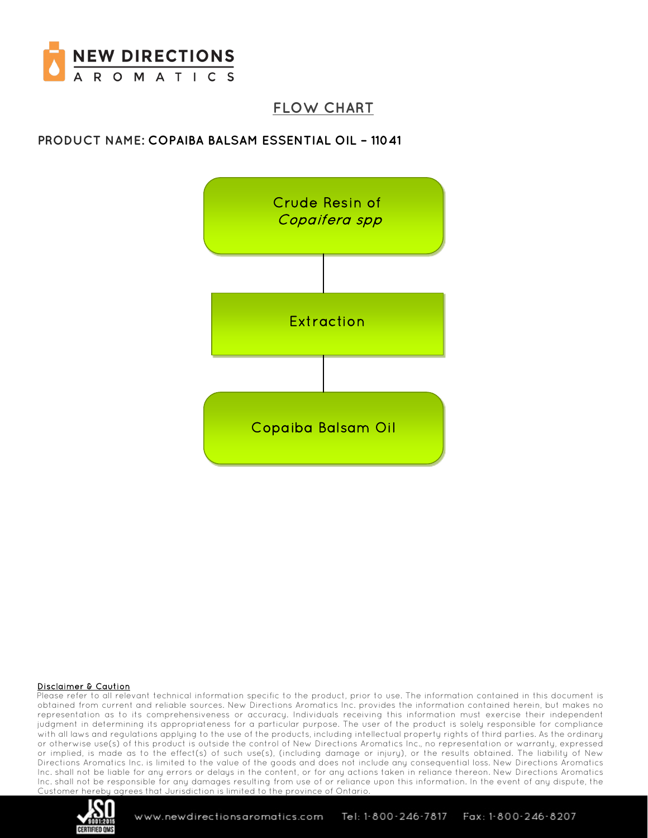

# **FLOW CHART**

## **PRODUCT NAME: COPAIBA BALSAM ESSENTIAL OIL – 11041**



#### Disclaimer & Caution

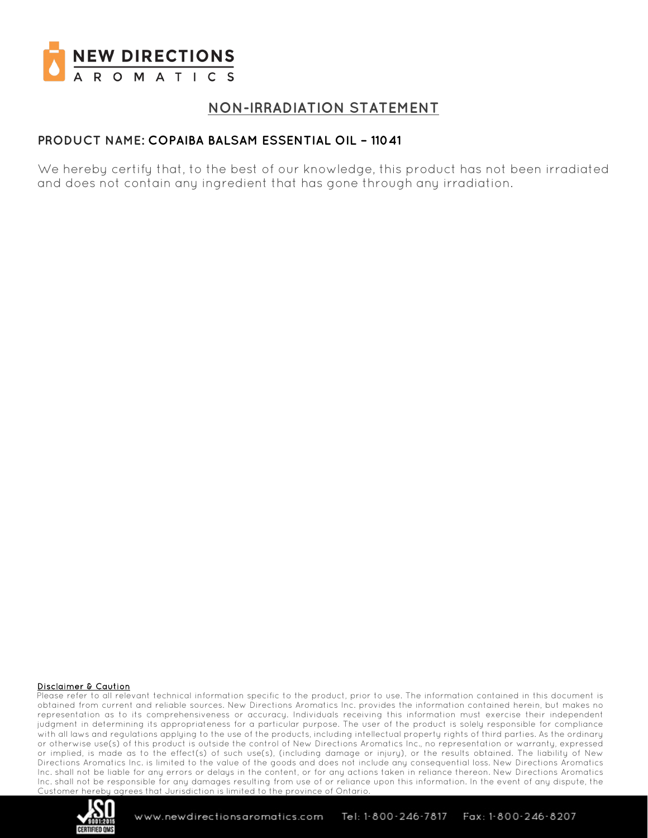

# **NON-IRRADIATION STATEMENT**

## **PRODUCT NAME: COPAIBA BALSAM ESSENTIAL OIL – 11041**

We hereby certify that, to the best of our knowledge, this product has not been irradiated and does not contain any ingredient that has gone through any irradiation.

#### Disclaimer & Caution

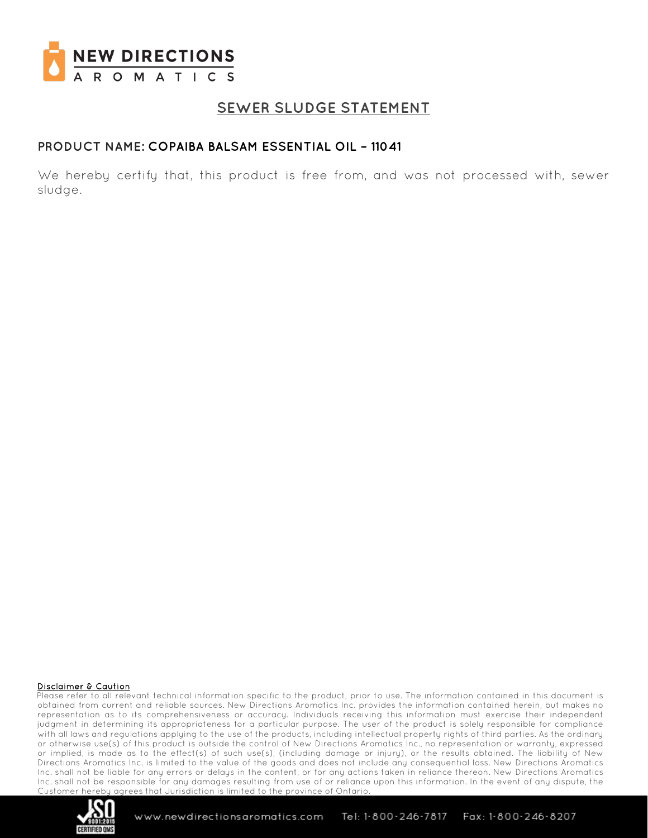

## **SEWER SLUDGE STATEMENT**

### **PRODUCT NAME: COPAIBA BALSAM ESSENTIAL OIL – 11041**

We hereby certify that, this product is free from, and was not processed with, sewer sludge.

#### Disclaimer & Caution

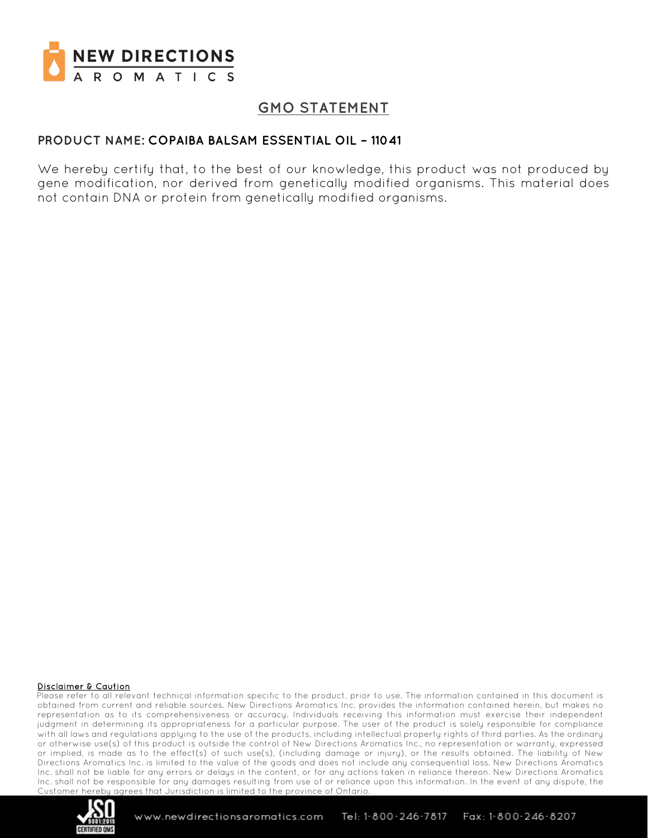

# **GMO STATEMENT**

### **PRODUCT NAME: COPAIBA BALSAM ESSENTIAL OIL – 11041**

We hereby certify that, to the best of our knowledge, this product was not produced by gene modification, nor derived from genetically modified organisms. This material does not contain DNA or protein from genetically modified organisms.

#### Disclaimer & Caution

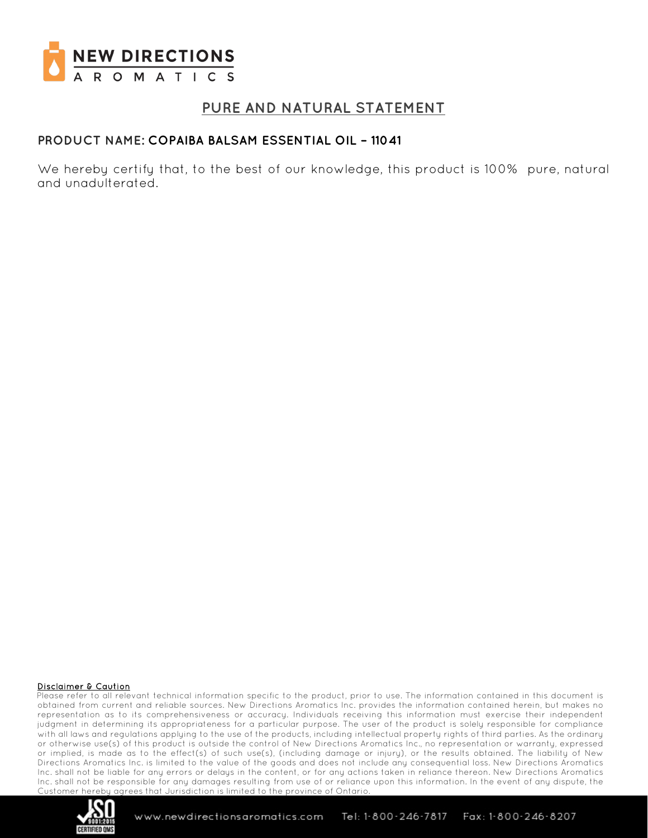

## **PURE AND NATURAL STATEMENT**

### **PRODUCT NAME: COPAIBA BALSAM ESSENTIAL OIL – 11041**

We hereby certify that, to the best of our knowledge, this product is 100% pure, natural and unadulterated.

#### Disclaimer & Caution

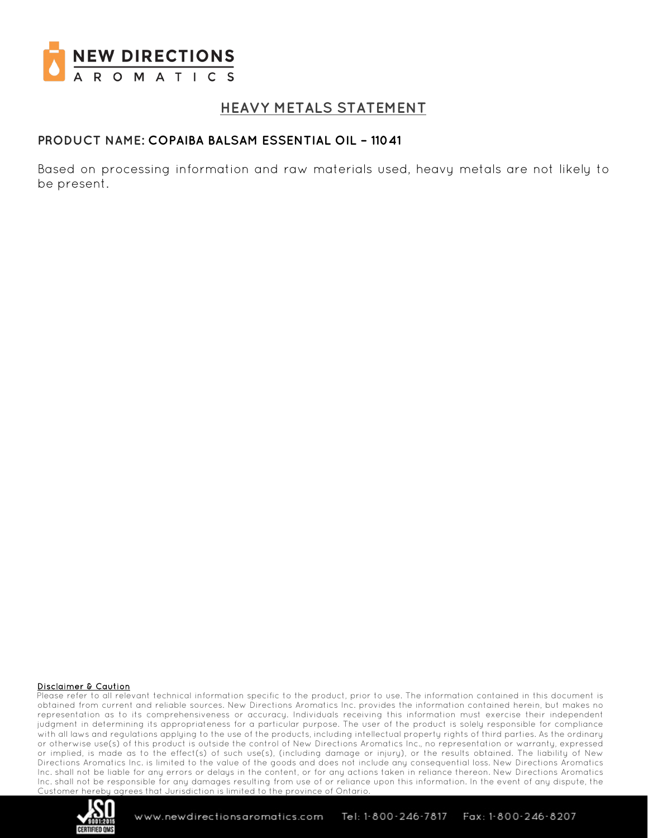

# **HEAVY METALS STATEMENT**

### **PRODUCT NAME: COPAIBA BALSAM ESSENTIAL OIL – 11041**

Based on processing information and raw materials used, heavy metals are not likely to be present.

#### Disclaimer & Caution

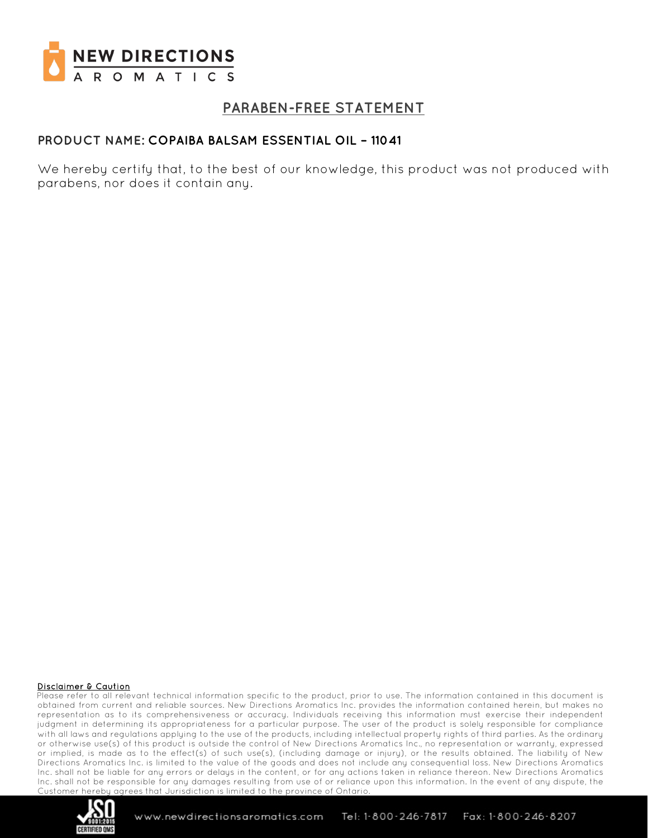

# **PARABEN-FREE STATEMENT**

### **PRODUCT NAME: COPAIBA BALSAM ESSENTIAL OIL – 11041**

We hereby certify that, to the best of our knowledge, this product was not produced with parabens, nor does it contain any.

#### Disclaimer & Caution

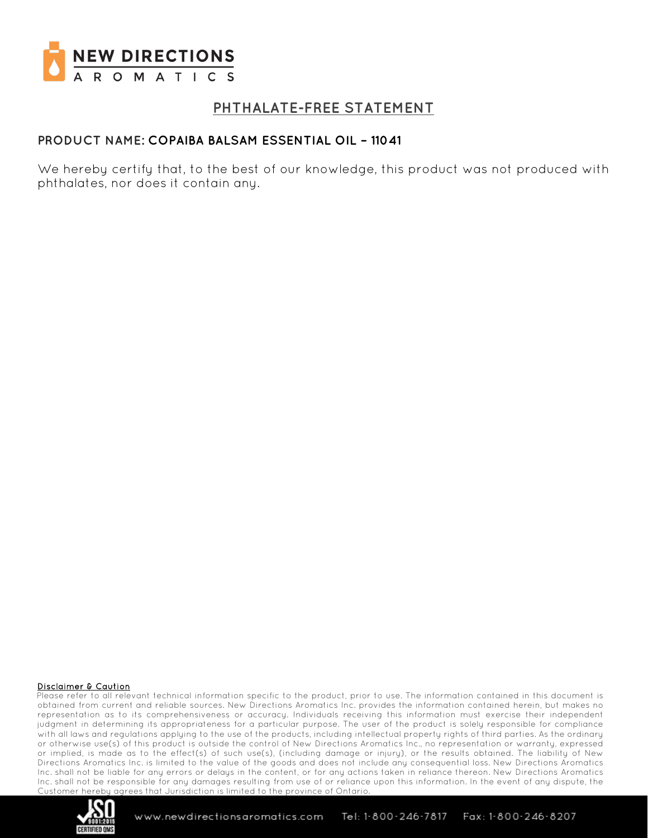

## **PHTHALATE-FREE STATEMENT**

### **PRODUCT NAME: COPAIBA BALSAM ESSENTIAL OIL – 11041**

We hereby certify that, to the best of our knowledge, this product was not produced with phthalates, nor does it contain any.

#### Disclaimer & Caution

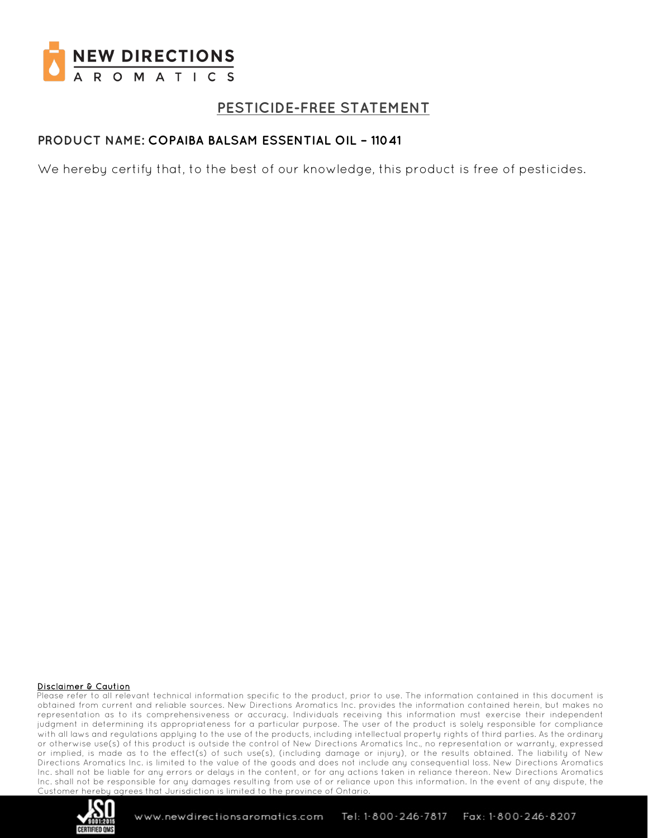

# **PESTICIDE-FREE STATEMENT**

## **PRODUCT NAME: COPAIBA BALSAM ESSENTIAL OIL – 11041**

We hereby certify that, to the best of our knowledge, this product is free of pesticides.

#### Disclaimer & Caution

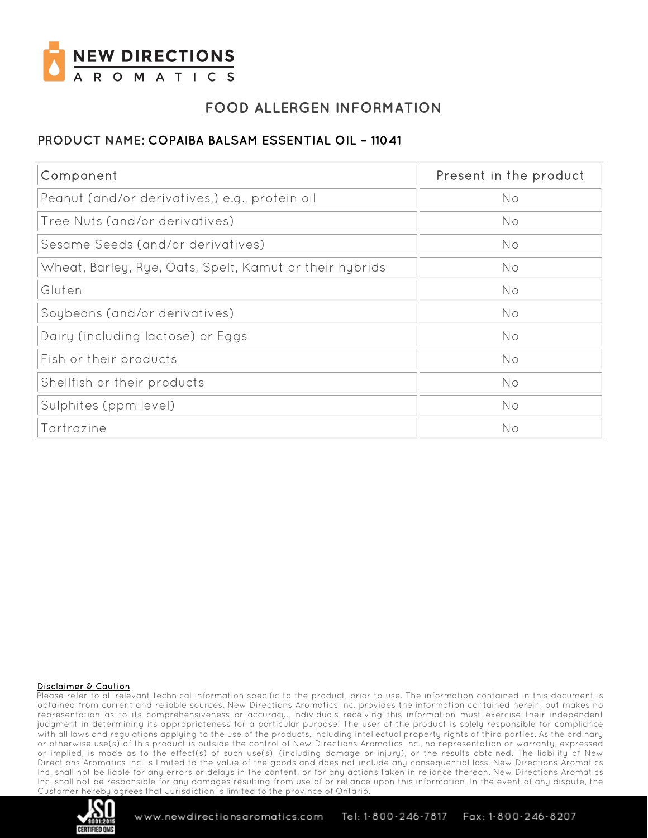

# **FOOD ALLERGEN INFORMATION**

### **PRODUCT NAME: COPAIBA BALSAM ESSENTIAL OIL – 11041**

| Component                                               | Present in the product |
|---------------------------------------------------------|------------------------|
| Peanut (and/or derivatives,) e.g., protein oil          | No                     |
| Tree Nuts (and/or derivatives)                          | No                     |
| Sesame Seeds (and/or derivatives)                       | No                     |
| Wheat, Barley, Rye, Oats, Spelt, Kamut or their hybrids | No                     |
| Gluten                                                  | No                     |
| Soybeans (and/or derivatives)                           | No                     |
| Dairy (including lactose) or Eggs                       | No                     |
| Fish or their products                                  | No                     |
| Shellfish or their products                             | No                     |
| Sulphites (ppm level)                                   | No                     |
| Tartrazine                                              | No                     |

#### Disclaimer & Caution

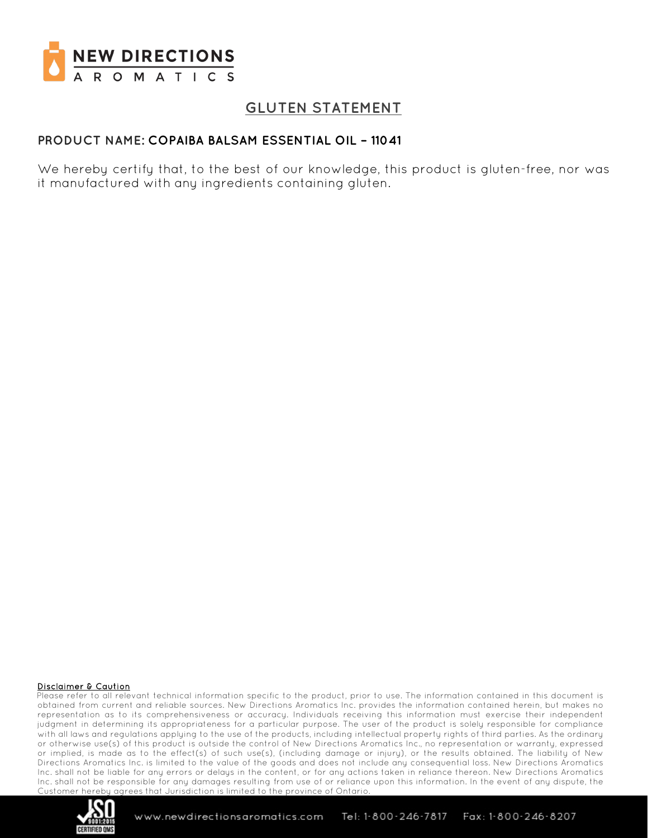

# **GLUTEN STATEMENT**

### **PRODUCT NAME: COPAIBA BALSAM ESSENTIAL OIL – 11041**

We hereby certify that, to the best of our knowledge, this product is gluten-free, nor was it manufactured with any ingredients containing gluten.

#### Disclaimer & Caution

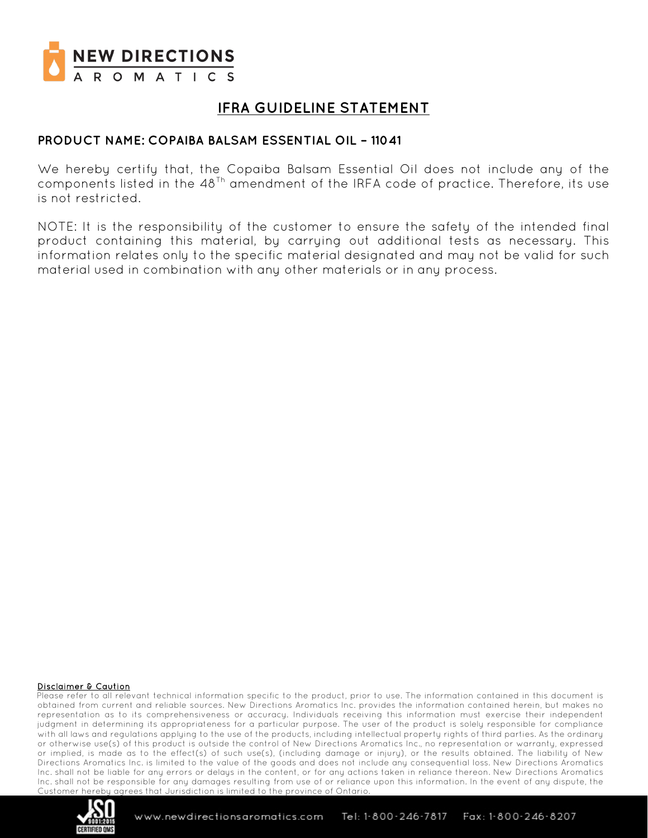

# **IFRA GUIDELINE STATEMENT**

### **PRODUCT NAME: COPAIBA BALSAM ESSENTIAL OIL – 11041**

We hereby certify that, the Copaiba Balsam Essential Oil does not include any of the components listed in the  $48<sup>Th</sup>$  amendment of the IRFA code of practice. Therefore, its use is not restricted.

NOTE: It is the responsibility of the customer to ensure the safety of the intended final product containing this material, by carrying out additional tests as necessary. This information relates only to the specific material designated and may not be valid for such material used in combination with any other materials or in any process.

#### Disclaimer & Caution

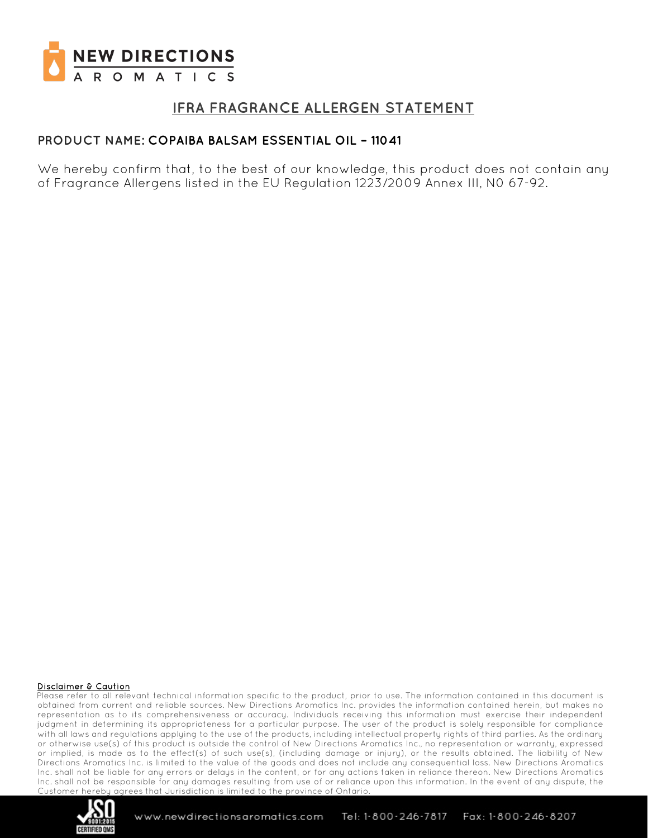

## **IFRA FRAGRANCE ALLERGEN STATEMENT**

### **PRODUCT NAME: COPAIBA BALSAM ESSENTIAL OIL – 11041**

We hereby confirm that, to the best of our knowledge, this product does not contain any of Fragrance Allergens listed in the EU Regulation 1223/2009 Annex III, N0 67-92.

#### Disclaimer & Caution

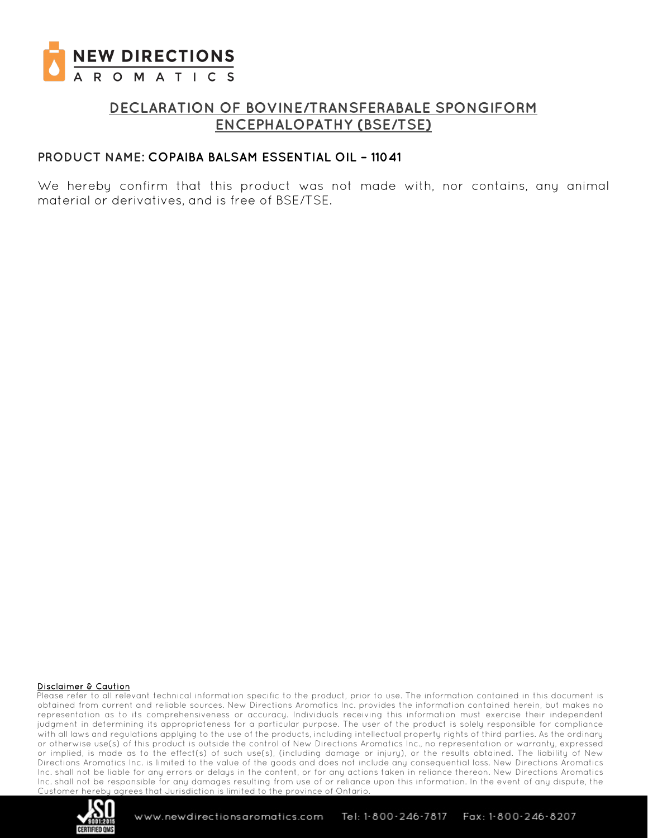

## **DECLARATION OF BOVINE/TRANSFERABALE SPONGIFORM ENCEPHALOPATHY (BSE/TSE)**

### **PRODUCT NAME: COPAIBA BALSAM ESSENTIAL OIL – 11041**

We hereby confirm that this product was not made with, nor contains, any animal material or derivatives, and is free of BSE/TSE.

#### Disclaimer & Caution

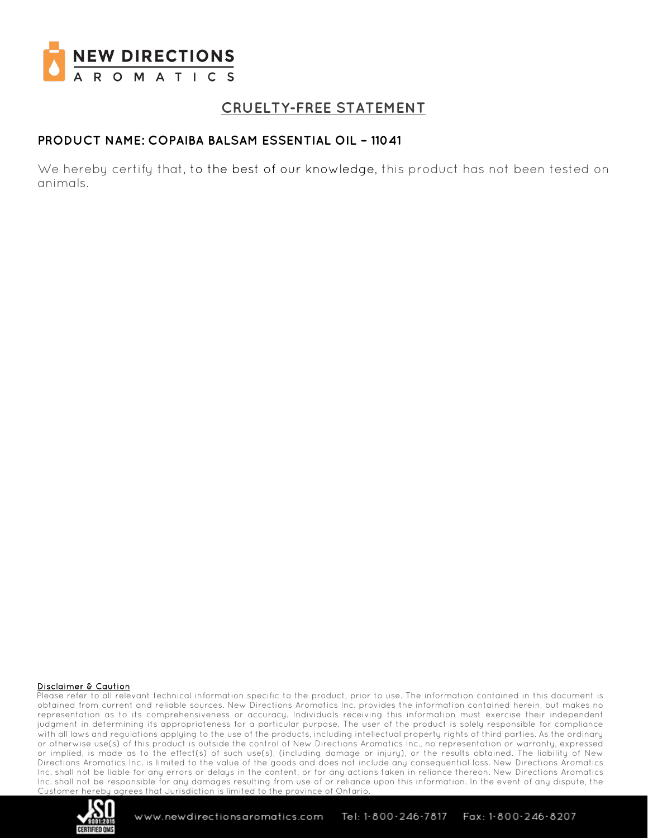

# **CRUELTY-FREE STATEMENT**

### **PRODUCT NAME: COPAIBA BALSAM ESSENTIAL OIL – 11041**

We hereby certify that, to the best of our knowledge, this product has not been tested on animals.

#### Disclaimer & Caution

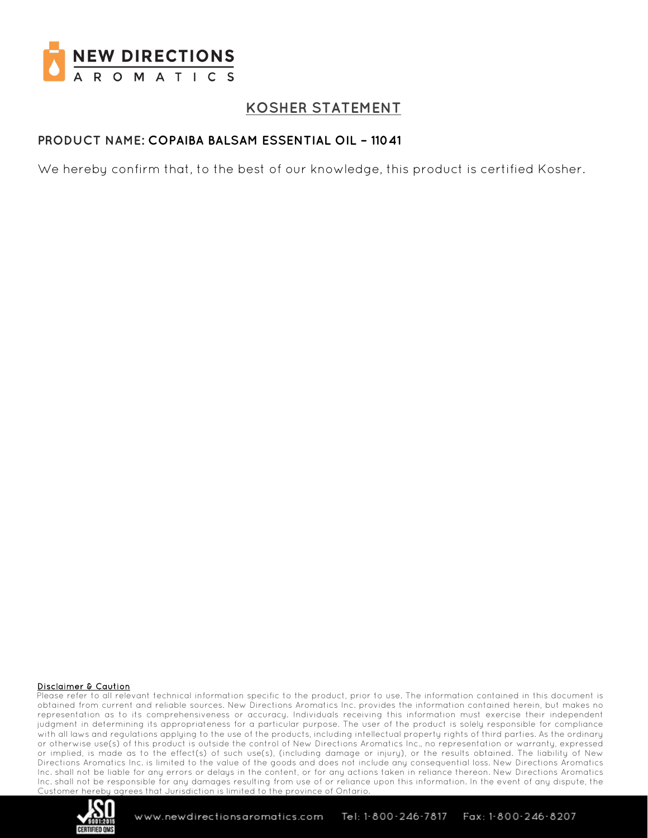

# **KOSHER STATEMENT**

## **PRODUCT NAME: COPAIBA BALSAM ESSENTIAL OIL – 11041**

We hereby confirm that, to the best of our knowledge, this product is certified Kosher.

#### Disclaimer & Caution

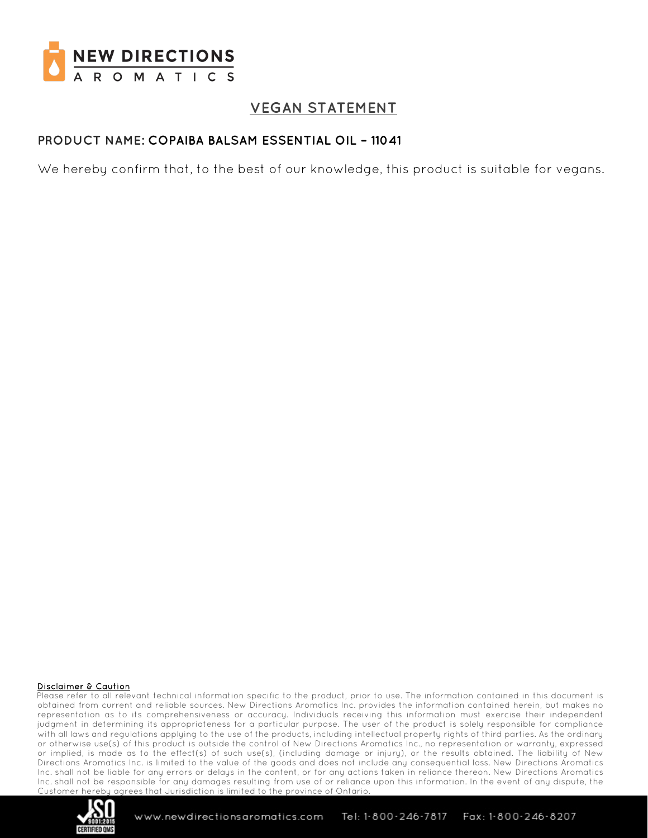

# **VEGAN STATEMENT**

### **PRODUCT NAME: COPAIBA BALSAM ESSENTIAL OIL – 11041**

We hereby confirm that, to the best of our knowledge, this product is suitable for vegans.

#### Disclaimer & Caution